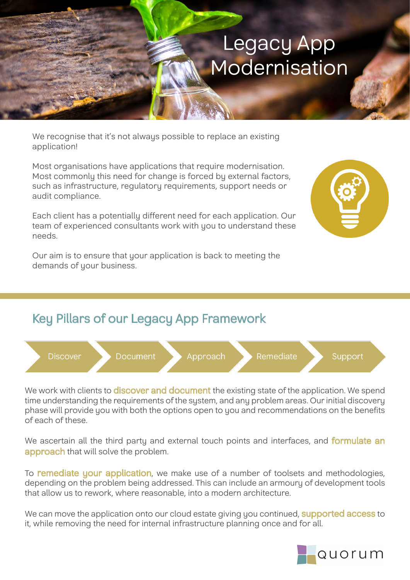## Legacy App Modernisation

We recognise that it's not always possible to replace an existing application!

Most organisations have applications that require modernisation. Most commonly this need for change is forced by external factors, such as infrastructure, regulatory requirements, support needs or audit compliance.

Each client has a potentially different need for each application. Our team of experienced consultants work with you to understand these needs.

Our aim is to ensure that your application is back to meeting the demands of your business.





We work with clients to **discover and document** the existing state of the application. We spend time understanding the requirements of the system, and any problem areas. Our initial discovery phase will provide you with both the options open to you and recommendations on the benefits of each of these.

We ascertain all the third party and external touch points and interfaces, and **formulate an** approach that will solve the problem.

To **remediate your application**, we make use of a number of toolsets and methodologies, depending on the problem being addressed. This can include an armoury of development tools that allow us to rework, where reasonable, into a modern architecture.

We can move the application onto our cloud estate giving you continued, **supported access** to it, while removing the need for internal infrastructure planning once and for all.